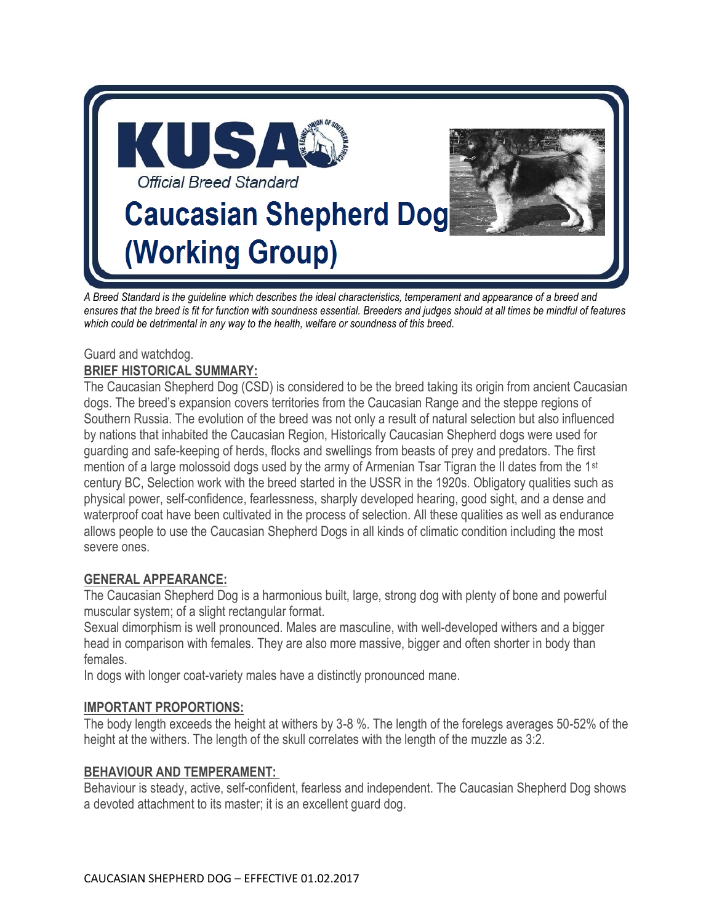

*A Breed Standard is the guideline which describes the ideal characteristics, temperament and appearance of a breed and ensures that the breed is fit for function with soundness essential. Breeders and judges should at all times be mindful of features which could be detrimental in any way to the health, welfare or soundness of this breed.* 

## Guard and watchdog. **BRIEF HISTORICAL SUMMARY:**

The Caucasian Shepherd Dog (CSD) is considered to be the breed taking its origin from ancient Caucasian dogs. The breed's expansion covers territories from the Caucasian Range and the steppe regions of Southern Russia. The evolution of the breed was not only a result of natural selection but also influenced by nations that inhabited the Caucasian Region, Historically Caucasian Shepherd dogs were used for guarding and safe-keeping of herds, flocks and swellings from beasts of prey and predators. The first mention of a large molossoid dogs used by the army of Armenian Tsar Tigran the II dates from the 1<sup>st</sup> century BC, Selection work with the breed started in the USSR in the 1920s. Obligatory qualities such as physical power, self-confidence, fearlessness, sharply developed hearing, good sight, and a dense and waterproof coat have been cultivated in the process of selection. All these qualities as well as endurance allows people to use the Caucasian Shepherd Dogs in all kinds of climatic condition including the most severe ones.

# **GENERAL APPEARANCE:**

The Caucasian Shepherd Dog is a harmonious built, large, strong dog with plenty of bone and powerful muscular system; of a slight rectangular format.

Sexual dimorphism is well pronounced. Males are masculine, with well-developed withers and a bigger head in comparison with females. They are also more massive, bigger and often shorter in body than females.

In dogs with longer coat-variety males have a distinctly pronounced mane.

# **IMPORTANT PROPORTIONS:**

The body length exceeds the height at withers by 3-8 %. The length of the forelegs averages 50-52% of the height at the withers. The length of the skull correlates with the length of the muzzle as 3:2.

# **BEHAVIOUR AND TEMPERAMENT:**

Behaviour is steady, active, self-confident, fearless and independent. The Caucasian Shepherd Dog shows a devoted attachment to its master; it is an excellent guard dog.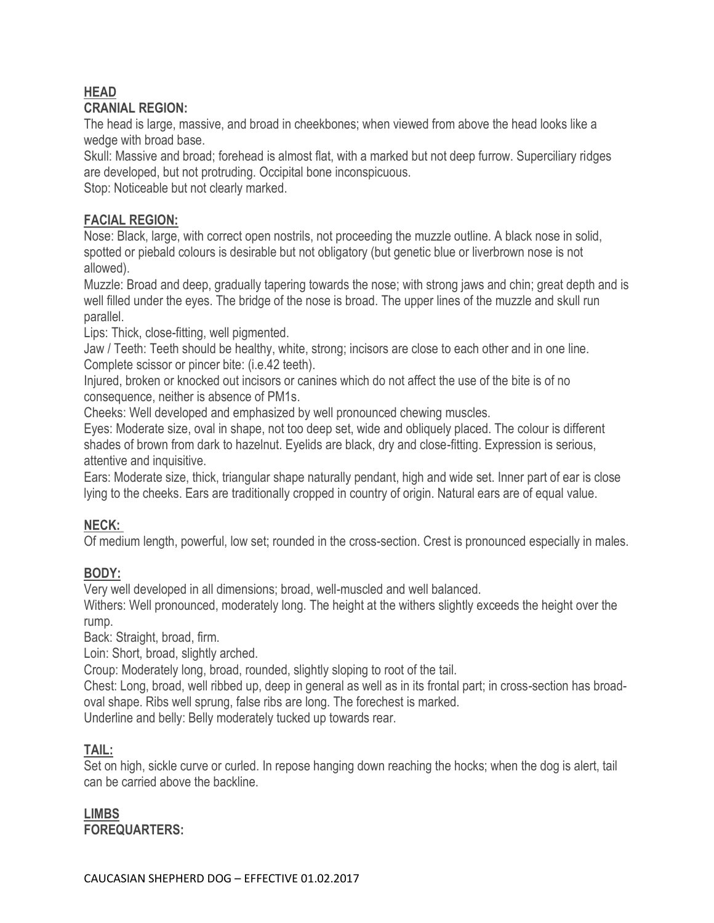#### **HEAD CRANIAL REGION:**

The head is large, massive, and broad in cheekbones; when viewed from above the head looks like a wedge with broad base.

Skull: Massive and broad; forehead is almost flat, with a marked but not deep furrow. Superciliary ridges are developed, but not protruding. Occipital bone inconspicuous.

Stop: Noticeable but not clearly marked.

## **FACIAL REGION:**

Nose: Black, large, with correct open nostrils, not proceeding the muzzle outline. A black nose in solid, spotted or piebald colours is desirable but not obligatory (but genetic blue or liverbrown nose is not allowed).

Muzzle: Broad and deep, gradually tapering towards the nose; with strong jaws and chin; great depth and is well filled under the eyes. The bridge of the nose is broad. The upper lines of the muzzle and skull run parallel.

Lips: Thick, close-fitting, well pigmented.

Jaw / Teeth: Teeth should be healthy, white, strong; incisors are close to each other and in one line. Complete scissor or pincer bite: (i.e.42 teeth).

Injured, broken or knocked out incisors or canines which do not affect the use of the bite is of no consequence, neither is absence of PM1s.

Cheeks: Well developed and emphasized by well pronounced chewing muscles.

Eyes: Moderate size, oval in shape, not too deep set, wide and obliquely placed. The colour is different shades of brown from dark to hazelnut. Eyelids are black, dry and close-fitting. Expression is serious, attentive and inquisitive.

Ears: Moderate size, thick, triangular shape naturally pendant, high and wide set. Inner part of ear is close lying to the cheeks. Ears are traditionally cropped in country of origin. Natural ears are of equal value.

# **NECK:**

Of medium length, powerful, low set; rounded in the cross-section. Crest is pronounced especially in males.

# **BODY:**

Very well developed in all dimensions; broad, well-muscled and well balanced.

Withers: Well pronounced, moderately long. The height at the withers slightly exceeds the height over the rump.

Back: Straight, broad, firm.

Loin: Short, broad, slightly arched.

Croup: Moderately long, broad, rounded, slightly sloping to root of the tail.

Chest: Long, broad, well ribbed up, deep in general as well as in its frontal part; in cross-section has broadoval shape. Ribs well sprung, false ribs are long. The forechest is marked.

Underline and belly: Belly moderately tucked up towards rear.

# **TAIL:**

Set on high, sickle curve or curled. In repose hanging down reaching the hocks; when the dog is alert, tail can be carried above the backline.

**LIMBS FOREQUARTERS:**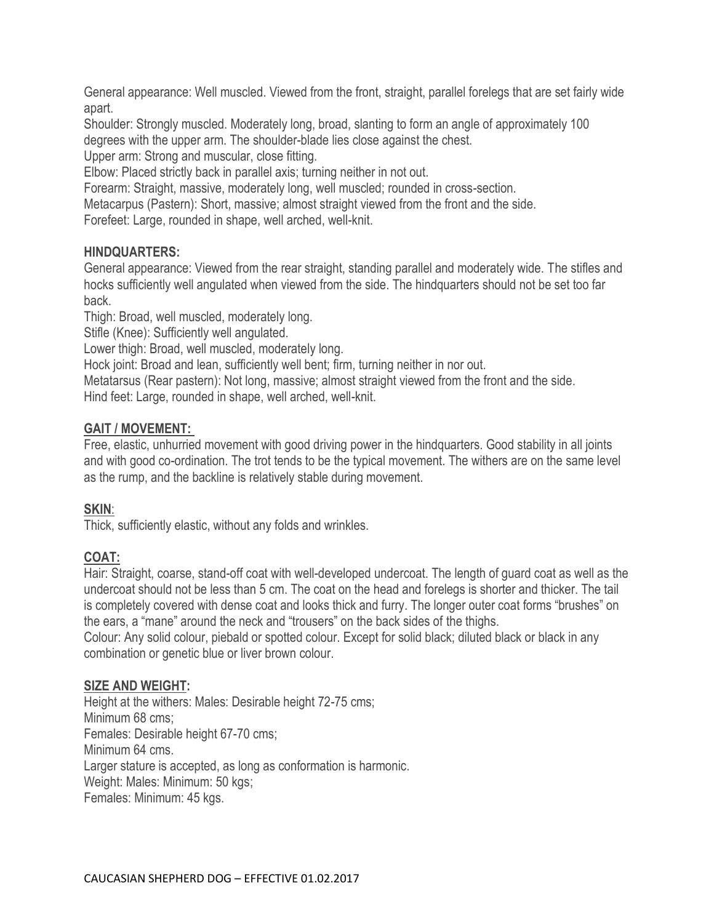General appearance: Well muscled. Viewed from the front, straight, parallel forelegs that are set fairly wide apart.

Shoulder: Strongly muscled. Moderately long, broad, slanting to form an angle of approximately 100 degrees with the upper arm. The shoulder-blade lies close against the chest.

Upper arm: Strong and muscular, close fitting.

Elbow: Placed strictly back in parallel axis; turning neither in not out.

Forearm: Straight, massive, moderately long, well muscled; rounded in cross-section.

Metacarpus (Pastern): Short, massive; almost straight viewed from the front and the side.

Forefeet: Large, rounded in shape, well arched, well-knit.

## **HINDQUARTERS:**

General appearance: Viewed from the rear straight, standing parallel and moderately wide. The stifles and hocks sufficiently well angulated when viewed from the side. The hindquarters should not be set too far back.

Thigh: Broad, well muscled, moderately long.

Stifle (Knee): Sufficiently well angulated.

Lower thigh: Broad, well muscled, moderately long.

Hock joint: Broad and lean, sufficiently well bent; firm, turning neither in nor out.

Metatarsus (Rear pastern): Not long, massive; almost straight viewed from the front and the side. Hind feet: Large, rounded in shape, well arched, well-knit.

## **GAIT / MOVEMENT:**

Free, elastic, unhurried movement with good driving power in the hindquarters. Good stability in all joints and with good co-ordination. The trot tends to be the typical movement. The withers are on the same level as the rump, and the backline is relatively stable during movement.

# **SKIN**:

Thick, sufficiently elastic, without any folds and wrinkles.

# **COAT:**

Hair: Straight, coarse, stand-off coat with well-developed undercoat. The length of guard coat as well as the undercoat should not be less than 5 cm. The coat on the head and forelegs is shorter and thicker. The tail is completely covered with dense coat and looks thick and furry. The longer outer coat forms "brushes" on the ears, a "mane" around the neck and "trousers" on the back sides of the thighs.

Colour: Any solid colour, piebald or spotted colour. Except for solid black; diluted black or black in any combination or genetic blue or liver brown colour.

#### **SIZE AND WEIGHT:**

Height at the withers: Males: Desirable height 72-75 cms; Minimum 68 cms; Females: Desirable height 67-70 cms; Minimum 64 cms. Larger stature is accepted, as long as conformation is harmonic. Weight: Males: Minimum: 50 kgs; Females: Minimum: 45 kgs.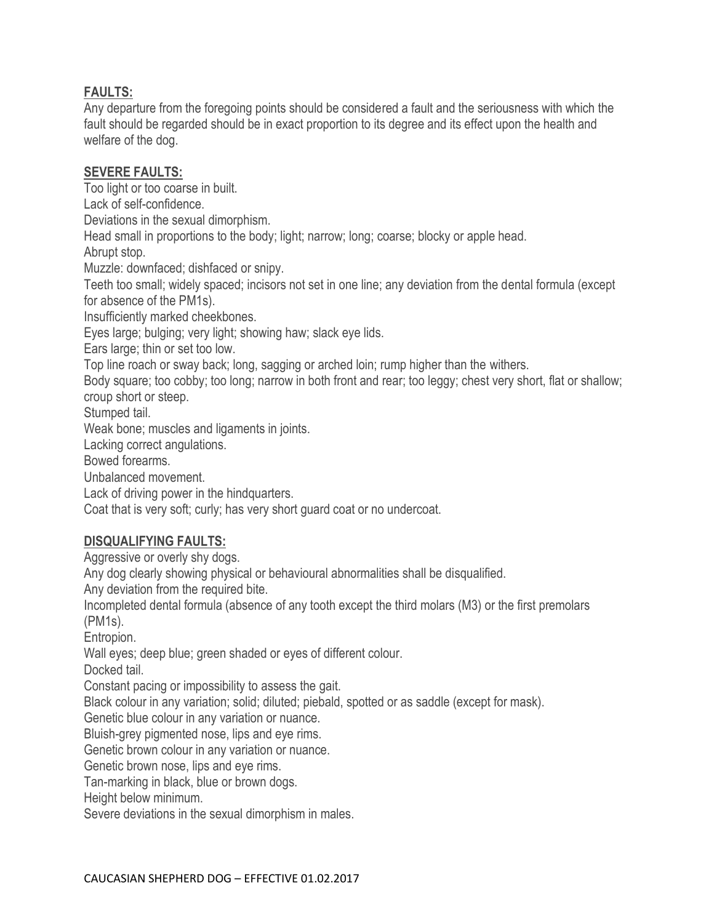## **FAULTS:**

Any departure from the foregoing points should be considered a fault and the seriousness with which the fault should be regarded should be in exact proportion to its degree and its effect upon the health and welfare of the dog.

#### **SEVERE FAULTS:**

Too light or too coarse in built.

Lack of self-confidence.

Deviations in the sexual dimorphism.

Head small in proportions to the body; light; narrow; long; coarse; blocky or apple head.

Abrupt stop.

Muzzle: downfaced; dishfaced or snipy.

Teeth too small; widely spaced; incisors not set in one line; any deviation from the dental formula (except for absence of the PM1s).

Insufficiently marked cheekbones.

Eyes large; bulging; very light; showing haw; slack eye lids.

Ears large; thin or set too low.

Top line roach or sway back; long, sagging or arched loin; rump higher than the withers.

Body square; too cobby; too long; narrow in both front and rear; too leggy; chest very short, flat or shallow; croup short or steep.

Stumped tail.

Weak bone; muscles and ligaments in joints.

Lacking correct angulations.

Bowed forearms.

Unbalanced movement.

Lack of driving power in the hindquarters.

Coat that is very soft; curly; has very short guard coat or no undercoat.

# **DISQUALIFYING FAULTS:**

Aggressive or overly shy dogs.

Any dog clearly showing physical or behavioural abnormalities shall be disqualified.

Any deviation from the required bite.

Incompleted dental formula (absence of any tooth except the third molars (M3) or the first premolars (PM1s).

Entropion.

Wall eyes; deep blue; green shaded or eyes of different colour.

Docked tail.

Constant pacing or impossibility to assess the gait.

Black colour in any variation; solid; diluted; piebald, spotted or as saddle (except for mask).

Genetic blue colour in any variation or nuance.

Bluish-grey pigmented nose, lips and eye rims.

Genetic brown colour in any variation or nuance.

Genetic brown nose, lips and eye rims.

Tan-marking in black, blue or brown dogs.

Height below minimum.

Severe deviations in the sexual dimorphism in males.